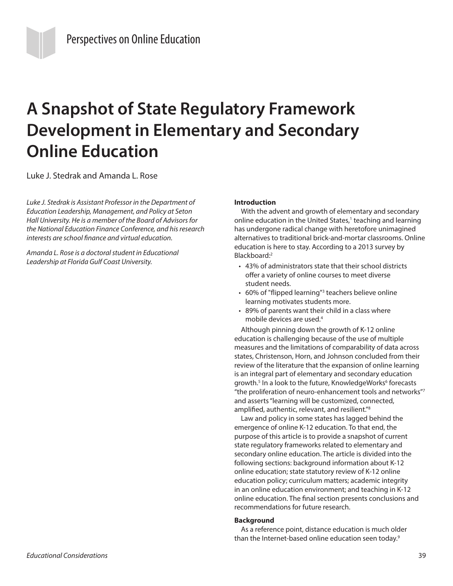# **A Snapshot of State Regulatory Framework Development in Elementary and Secondary Online Education**

Luke J. Stedrak and Amanda L. Rose

*Luke J. Stedrak is Assistant Professor in the Department of Education Leadership, Management, and Policy at Seton Hall University. He is a member of the Board of Advisors for the National Education Finance Conference, and his research interests are school finance and virtual education.*

*Amanda L. Rose is a doctoral student in Educational Leadership at Florida Gulf Coast University.*

## **Introduction**

With the advent and growth of elementary and secondary online education in the United States,<sup>1</sup> teaching and learning has undergone radical change with heretofore unimagined alternatives to traditional brick-and-mortar classrooms. Online education is here to stay. According to a 2013 survey by Blackboard:2

- 43% of administrators state that their school districts offer a variety of online courses to meet diverse student needs.
- 60% of "flipped learning"<sup>3</sup> teachers believe online learning motivates students more.
- 89% of parents want their child in a class where mobile devices are used.4

Although pinning down the growth of K-12 online education is challenging because of the use of multiple measures and the limitations of comparability of data across states, Christenson, Horn, and Johnson concluded from their review of the literature that the expansion of online learning is an integral part of elementary and secondary education growth.<sup>5</sup> In a look to the future, KnowledgeWorks<sup>6</sup> forecasts "the proliferation of neuro-enhancement tools and networks"7 and asserts "learning will be customized, connected, amplified, authentic, relevant, and resilient."8

Law and policy in some states has lagged behind the emergence of online K-12 education. To that end, the purpose of this article is to provide a snapshot of current state regulatory frameworks related to elementary and secondary online education. The article is divided into the following sections: background information about K-12 online education; state statutory review of K-12 online education policy; curriculum matters; academic integrity in an online education environment; and teaching in K-12 online education. The final section presents conclusions and recommendations for future research.

# **Background**

As a reference point, distance education is much older than the Internet-based online education seen today.<sup>9</sup>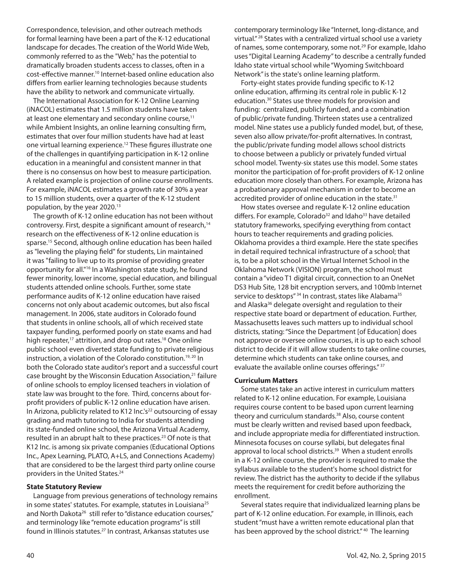Correspondence, television, and other outreach methods for formal learning have been a part of the K-12 educational landscape for decades. The creation of the World Wide Web, commonly referred to as the "Web," has the potential to dramatically broaden students access to classes, often in a cost-effective manner.10 Internet-based online education also differs from earlier learning technologies because students have the ability to network and communicate virtually.

The International Association for K-12 Online Learning (iNACOL) estimates that 1.5 million students have taken at least one elementary and secondary online course,<sup>11</sup> while Ambient Insights, an online learning consulting firm, estimates that over four million students have had at least one virtual learning experience.12 These figures illustrate one of the challenges in quantifying participation in K-12 online education in a meaningful and consistent manner in that there is no consensus on how best to measure participation. A related example is projection of online course enrollments. For example, iNACOL estimates a growth rate of 30% a year to 15 million students, over a quarter of the K-12 student population, by the year 2020.13

The growth of K-12 online education has not been without controversy. First, despite a significant amount of research,<sup>14</sup> research on the effectiveness of K-12 online education is sparse.15 Second, although online education has been hailed as "leveling the playing field" for students, Lin maintained it was "failing to live up to its promise of providing greater opportunity for all."16 In a Washington state study, he found fewer minority, lower income, special education, and bilingual students attended online schools. Further, some state performance audits of K-12 online education have raised concerns not only about academic outcomes, but also fiscal management. In 2006, state auditors in Colorado found that students in online schools, all of which received state taxpayer funding, performed poorly on state exams and had high repeater,<sup>17</sup> attrition, and drop out rates.<sup>18</sup> One online public school even diverted state funding to private religious instruction, a violation of the Colorado constitution.<sup>19, 20</sup> In both the Colorado state auditor's report and a successful court case brought by the Wisconsin Education Association,<sup>21</sup> failure of online schools to employ licensed teachers in violation of state law was brought to the fore. Third, concerns about forprofit providers of public K-12 online education have arisen. In Arizona, publicity related to K12 Inc.'s<sup>22</sup> outsourcing of essay grading and math tutoring to India for students attending its state-funded online school, the Arizona Virtual Academy, resulted in an abrupt halt to these practices.<sup>23</sup> Of note is that K12 Inc. is among six private companies (Educational Options Inc., Apex Learning, PLATO, A+LS, and Connections Academy) that are considered to be the largest third party online course providers in the United States.<sup>24</sup>

## **State Statutory Review**

Language from previous generations of technology remains in some states' statutes. For example, statutes in Louisiana<sup>25</sup> and North Dakota<sup>26</sup> still refer to "distance education courses," and terminology like "remote education programs" is still found in Illinois statutes.<sup>27</sup> In contrast, Arkansas statutes use

contemporary terminology like "Internet, long-distance, and virtual." 28 States with a centralized virtual school use a variety of names, some contemporary, some not.29 For example, Idaho uses "Digital Learning Academy" to describe a centrally funded Idaho state virtual school while "Wyoming Switchboard Network" is the state's online learning platform.

Forty-eight states provide funding specific to K-12 online education, affirming its central role in public K-12 education.30 States use three models for provision and funding: centralized, publicly funded, and a combination of public/private funding. Thirteen states use a centralized model. Nine states use a publicly funded model, but, of these, seven also allow private/for-profit alternatives. In contrast, the public/private funding model allows school districts to choose between a publicly or privately funded virtual school model. Twenty-six states use this model. Some states monitor the participation of for-profit providers of K-12 online education more closely than others. For example, Arizona has a probationary approval mechanism in order to become an accredited provider of online education in the state.<sup>31</sup>

How states oversee and regulate K-12 online education differs. For example, Colorado<sup>32</sup> and Idaho<sup>33</sup> have detailed statutory frameworks, specifying everything from contact hours to teacher requirements and grading policies. Oklahoma provides a third example. Here the state specifies in detail required technical infrastructure of a school; that is, to be a pilot school in the Virtual Internet School in the Oklahoma Network (VISION) program, the school must contain a "video T1 digital circuit, connection to an OneNet DS3 Hub Site, 128 bit encryption servers, and 100mb Internet service to desktops" 34 In contrast, states like Alabama<sup>35</sup> and Alaska<sup>36</sup> delegate oversight and regulation to their respective state board or department of education. Further, Massachusetts leaves such matters up to individual school districts, stating: "Since the Department [of Education] does not approve or oversee online courses, it is up to each school district to decide if it will allow students to take online courses, determine which students can take online courses, and evaluate the available online courses offerings." 37

#### **Curriculum Matters**

Some states take an active interest in curriculum matters related to K-12 online education. For example, Louisiana requires course content to be based upon current learning theory and curriculum standards.38 Also, course content must be clearly written and revised based upon feedback, and include appropriate media for differentiated instruction. Minnesota focuses on course syllabi, but delegates final approval to local school districts.<sup>39</sup> When a student enrolls in a K-12 online course, the provider is required to make the syllabus available to the student's home school district for review. The district has the authority to decide if the syllabus meets the requirement for credit before authorizing the enrollment.

Several states require that individualized learning plans be part of K-12 online education. For example, in Illinois, each student "must have a written remote educational plan that has been approved by the school district."<sup>40</sup> The learning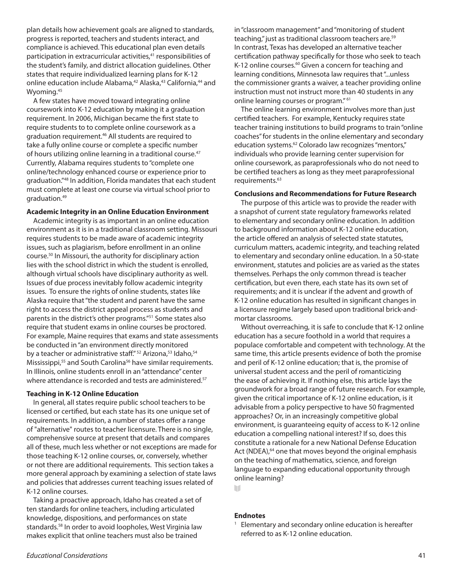plan details how achievement goals are aligned to standards, progress is reported, teachers and students interact, and compliance is achieved. This educational plan even details participation in extracurricular activities,<sup>41</sup> responsibilities of the student's family, and district allocation guidelines. Other states that require individualized learning plans for K-12 online education include Alabama,<sup>42</sup> Alaska,<sup>43</sup> California,<sup>44</sup> and Wyoming.<sup>45</sup>

A few states have moved toward integrating online coursework into K-12 education by making it a graduation requirement. In 2006, Michigan became the first state to require students to to complete online coursework as a graduation requirement.46 All students are required to take a fully online course or complete a specific number of hours utilizing online learning in a traditional course.<sup>47</sup> Currently, Alabama requires students to "complete one online/technology enhanced course or experience prior to graduation."48 In addition, Florida mandates that each student must complete at least one course via virtual school prior to graduation.49

# **Academic Integrity in an Online Education Environment**

Academic integrity is as important in an online education environment as it is in a traditional classroom setting. Missouri requires students to be made aware of academic integrity issues, such as plagiarism, before enrollment in an online course.50 In Missouri, the authority for disciplinary action lies with the school district in which the student is enrolled, although virtual schools have disciplinary authority as well. Issues of due process inevitably follow academic integrity issues. To ensure the rights of online students, states like Alaska require that "the student and parent have the same right to access the district appeal process as students and parents in the district's other programs."51 Some states also require that student exams in online courses be proctored. For example, Maine requires that exams and state assessments be conducted in "an environment directly monitored by a teacher or administrative staff." <sup>52</sup> Arizona, <sup>53</sup> Idaho, <sup>54</sup> Mississippi,<sup>55</sup> and South Carolina<sup>56</sup> have similar requirements. In Illinois, online students enroll in an "attendance" center where attendance is recorded and tests are administered.<sup>57</sup>

## **Teaching in K-12 Online Education**

In general, all states require public school teachers to be licensed or certified, but each state has its one unique set of requirements. In addition, a number of states offer a range of "alternative" routes to teacher licensure. There is no single, comprehensive source at present that details and compares all of these, much less whether or not exceptions are made for those teaching K-12 online courses, or, conversely, whether or not there are additional requirements. This section takes a more general approach by examining a selection of state laws and policies that addresses current teaching issues related of K-12 online courses.

Taking a proactive approach, Idaho has created a set of ten standards for online teachers, including articulated knowledge, dispositions, and performances on state standards.<sup>58</sup> In order to avoid loopholes, West Virginia law makes explicit that online teachers must also be trained

in "classroom management" and "monitoring of student teaching," just as traditional classroom teachers are.59 In contrast, Texas has developed an alternative teacher certification pathway specifically for those who seek to teach K-12 online courses.<sup>60</sup> Given a concern for teaching and learning conditions, Minnesota law requires that "...unless the commissioner grants a waiver, a teacher providing online instruction must not instruct more than 40 students in any online learning courses or program." 61

The online learning environment involves more than just certified teachers. For example, Kentucky requires state teacher training institutions to build programs to train "online coaches" for students in the online elementary and secondary education systems.62 Colorado law recognizes "mentors," individuals who provide learning center supervision for online coursework, as paraprofessionals who do not need to be certified teachers as long as they meet paraprofessional requirements.63

## **Conclusions and Recommendations for Future Research**

The purpose of this article was to provide the reader with a snapshot of current state regulatory frameworks related to elementary and secondary online education. In addition to background information about K-12 online education, the article offered an analysis of selected state statutes, curriculum matters, academic integrity, and teaching related to elementary and secondary online education. In a 50-state environment, statutes and policies are as varied as the states themselves. Perhaps the only common thread is teacher certification, but even there, each state has its own set of requirements; and it is unclear if the advent and growth of K-12 online education has resulted in significant changes in a licensure regime largely based upon traditional brick-andmortar classrooms.

Without overreaching, it is safe to conclude that K-12 online education has a secure foothold in a world that requires a populace comfortable and competent with technology. At the same time, this article presents evidence of both the promise and peril of K-12 online education; that is, the promise of universal student access and the peril of romanticizing the ease of achieving it. If nothing else, this article lays the groundwork for a broad range of future research. For example, given the critical importance of K-12 online education, is it advisable from a policy perspective to have 50 fragmented approaches? Or, in an increasingly competitive global environment, is guaranteeing equity of access to K-12 online education a compelling national interest? If so, does this constitute a rationale for a new National Defense Education Act (NDEA),<sup>64</sup> one that moves beyond the original emphasis on the teaching of mathematics, science, and foreign language to expanding educational opportunity through online learning?

W

# **Endnotes**

<sup>1</sup> Elementary and secondary online education is hereafter referred to as K-12 online education.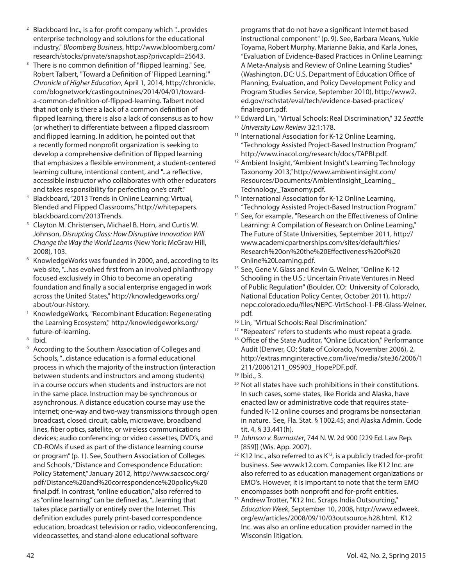- <sup>2</sup> Blackboard Inc., is a for-profit company which "...provides enterprise technology and solutions for the educational industry," *Bloomberg Business*, http://www.bloomberg.com/ research/stocks/private/snapshot.asp?privcapId=25643.
- <sup>3</sup> There is no common definition of "flipped learning." See, Robert Talbert, "Toward a Definition of 'Flipped Learning,'" *Chronicle of Higher Education*, April 1, 2014, http://chronicle. com/blognetwork/castingoutnines/2014/04/01/towarda-common-definition-of-flipped-learning. Talbert noted that not only is there a lack of a common definition of flipped learning, there is also a lack of consensus as to how (or whether) to differentiate between a flipped classroom and flipped learning. In addition, he pointed out that a recently formed nonprofit organization is seeking to develop a comprehensive definition of flipped learning that emphasizes a flexible environment, a student-centered learning culture, intentional content, and "...a reflective, accessible instructor who collaborates with other educators and takes responsibility for perfecting one's craft."
- <sup>4</sup> Blackboard, "2013 Trends in Online Learning: Virtual, Blended and Flipped Classrooms," http://whitepapers. blackboard.com/2013Trends.
- <sup>5</sup> Clayton M. Christensen, Michael B. Horn, and Curtis W. Johnson, *Disrupting Class: How Disruptive Innovation Will Change the Way the World Learns* (New York: McGraw Hill, 2008), 103.
- <sup>6</sup> KnowledgeWorks was founded in 2000, and, according to its web site, "...has evolved first from an involved philanthropy focused exclusively in Ohio to become an operating foundation and finally a social enterprise engaged in work across the United States," http://knowledgeworks.org/ about/our-history.
- <sup>1</sup> KnowledgeWorks, "Recombinant Education: Regenerating the Learning Ecosystem," http://knowledgeworks.org/ future-of-learning.
- <sup>8</sup> Ibid.
- <sup>9</sup> According to the Southern Association of Colleges and Schools, "...distance education is a formal educational process in which the majority of the instruction (interaction between students and instructors and among students) in a course occurs when students and instructors are not in the same place. Instruction may be synchronous or asynchronous. A distance education course may use the internet; one-way and two-way transmissions through open broadcast, closed circuit, cable, microwave, broadband lines, fiber optics, satellite, or wireless communications devices; audio conferencing; or video cassettes, DVD's, and CD-ROMs if used as part of the distance learning course or program" (p. 1). See, Southern Association of Colleges and Schools, "Distance and Correspondence Education: Policy Statement," January 2012, http://www.sacscoc.org/ pdf/Distance%20and%20correspondence%20policy%20 final.pdf. In contrast, "online education," also referred to as "online learning," can be defined as, "...learning that takes place partially or entirely over the Internet. This definition excludes purely print-based correspondence education, broadcast television or radio, videoconferencing, videocassettes, and stand-alone educational software

programs that do not have a significant Internet based instructional component" (p. 9). See, Barbara Means, Yukie Toyama, Robert Murphy, Marianne Bakia, and Karla Jones, "Evaluation of Evidence-Based Practices in Online Learning: A Meta-Analysis and Review of Online Learning Studies" (Washington, DC: U.S. Department of Education Office of Planning, Evaluation, and Policy Development Policy and Program Studies Service, September 2010), http://www2. ed.gov/rschstat/eval/tech/evidence-based-practices/ finalreport.pdf.

- <sup>10</sup> Edward Lin, "Virtual Schools: Real Discrimination," 32 *Seattle University Law Review* 32:1:178.
- <sup>11</sup> International Association for K-12 Online Learning, "Technology Assisted Project-Based Instruction Program," http://www.inacol.org/research/docs/TAPBI.pdf.
- <sup>12</sup> Ambient Insight, "Ambient Insight's Learning Technology Taxonomy 2013," http://www.ambientinsight.com/ Resources/Documents/AmbientInsight\_Learning\_ Technology\_Taxonomy.pdf.
- <sup>13</sup> International Association for K-12 Online Learning, "Technology Assisted Project-Based Instruction Program."
- <sup>14</sup> See, for example, "Research on the Effectiveness of Online Learning: A Compilation of Research on Online Learning," The Future of State Universities, September 2011, http:// www.academicpartnerships.com/sites/default/files/ Research%20on%20the%20Effectiveness%20of%20 Online%20Learning.pdf.
- <sup>15</sup> See, Gene V. Glass and Kevin G. Welner, "Online K-12 Schooling in the U.S.: Uncertain Private Ventures in Need of Public Regulation" (Boulder, CO: University of Colorado, National Education Policy Center, October 2011), http:// nepc.colorado.edu/files/NEPC-VirtSchool-1-PB-Glass-Welner. pdf.
- <sup>16</sup> Lin, "Virtual Schools: Real Discrimination."
- <sup>17</sup> "Repeaters" refers to students who must repeat a grade.
- <sup>18</sup> Office of the State Auditor, "Online Education," Performance Audit (Denver, CO: State of Colorado, November 2006), 2, http://extras.mnginteractive.com/live/media/site36/2006/1 211/20061211\_095903\_HopePDF.pdf.
- <sup>19</sup> Ibid., 3.
- <sup>20</sup> Not all states have such prohibitions in their constitutions. In such cases, some states, like Florida and Alaska, have enacted law or administrative code that requires statefunded K-12 online courses and programs be nonsectarian in nature. See, Fla. Stat. § 1002.45; and Alaska Admin. Code tit. 4, § 33.441(h).
- <sup>21</sup> *Johnson v. Burmaster*, 744 N. W. 2d 900 [229 Ed. Law Rep. [859]] (Wis. App. 2007).
- $22$  K12 Inc., also referred to as K<sup>12</sup>, is a publicly traded for-profit business. See www.k12.com. Companies like K12 Inc. are also referred to as education management organizations or EMO's. However, it is important to note that the term EMO
- encompasses both nonprofit and for-profit entities. 23 Andrew Trotter, "K12 Inc. Scraps India Outsourcing," *Education Week*, September 10, 2008, http://www.edweek. org/ew/articles/2008/09/10/03outsource.h28.html. K12 Inc. was also an online education provider named in the Wisconsin litigation.